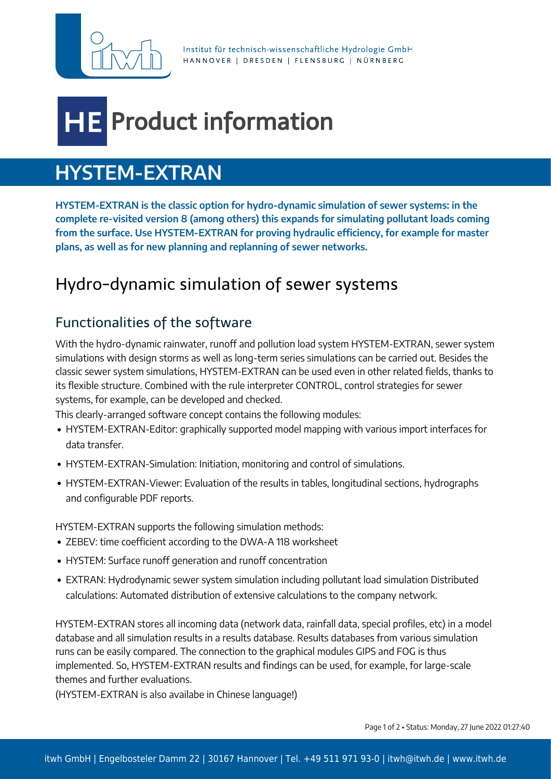

Institut für technisch-wissenschaftliche Hydrologie GmbH HANNOVER | DRESDEN | FLENSBURG | NÜRNBERG

# **Product information**

# **HYSTEM-EXTRAN**

**HYSTEM-EXTRAN is the classic option for hydro-dynamic simulation of sewer systems: in the complete re-visited version 8 (among others) this expands for simulating pollutant loads coming from the surface. Use HYSTEM-EXTRAN for proving hydraulic efficiency, for example for master plans, as well as for new planning and replanning of sewer networks.**

## Hydro-dynamic simulation of sewer systems

## Functionalities of the software

With the hydro-dynamic rainwater, runoff and pollution load system HYSTEM-EXTRAN, sewer system simulations with design storms as well as long-term series simulations can be carried out. Besides the classic sewer system simulations, HYSTEM-EXTRAN can be used even in other related fields, thanks to its flexible structure. Combined with the rule interpreter CONTROL, control strategies for sewer systems, for example, can be developed and checked.

This clearly-arranged software concept contains the following modules:

- HYSTEM-EXTRAN-Editor: graphically supported model mapping with various import interfaces for data transfer.
- HYSTEM-EXTRAN-Simulation: Initiation, monitoring and control of simulations.
- HYSTEM-EXTRAN-Viewer: Evaluation of the results in tables, longitudinal sections, hydrographs and configurable PDF reports.

HYSTEM-EXTRAN supports the following simulation methods:

- ZEBEV: time coefficient according to the DWA-A 118 worksheet
- HYSTEM: Surface runoff generation and runoff concentration
- EXTRAN: Hydrodynamic sewer system simulation including pollutant load simulation Distributed calculations: Automated distribution of extensive calculations to the company network.

HYSTEM-EXTRAN stores all incoming data (network data, rainfall data, special profiles, etc) in a model database and all simulation results in a results database. Results databases from various simulation runs can be easily compared. The connection to the graphical modules GIPS and FOG is thus implemented. So, HYSTEM-EXTRAN results and findings can be used, for example, for large-scale themes and further evaluations.

(HYSTEM-EXTRAN is also availabe in Chinese language!)